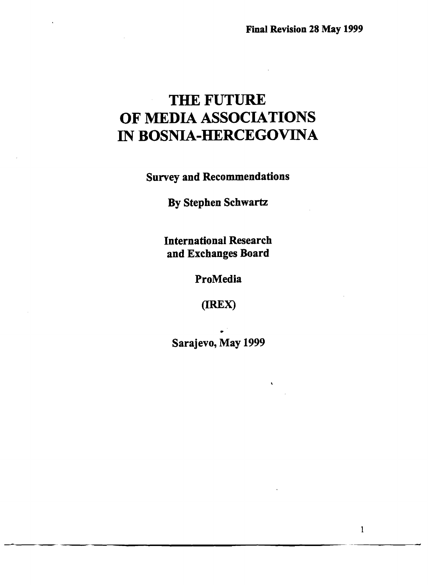# THE FUTURE OF MEDIA ASSOCIATIONS IN BOSNIA-HERCEGOVINA

Survey and Recommendations

By Stephen Schwartz

International Research and Exchanges Board

ProMedia

(lREX)

• Sarajevo, May 1999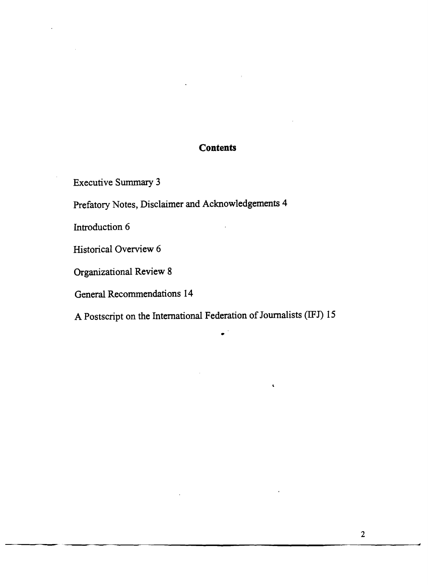# **Contents**

Executive Summary 3

Prefatory Notes, Disclaimer and Acknowledgements 4

Introduction 6

Historical Overview 6

Organizational Review 8

General Recommendations 14

A Postscript on the International Federation of Journalists (IFJ) 15

•

 $\ddot{\phantom{a}}$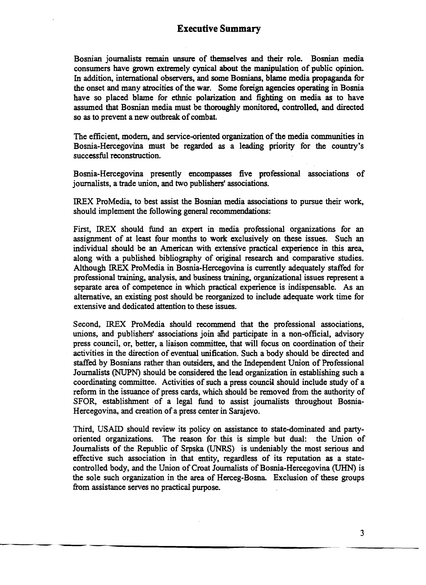Bosnian journalists remain unsure of themselves and their role. Bosnian media consumers have grown extremely cynical about the manipulation of public opinion. In addition, international observers, and some Bosnians, blame media propaganda for the onset and many atrocities of the war. Some foreign agencies operating in Bosnia have so placed blame for ethnic polarization and fighting on media as to have assumed that Bosnian media must be thoroughly monitored, controlled, and directed so as to prevent a new outbreak of combat.

The efficient, modern, and service-oriented organization of the media communities in Bosnia-Hercegovina must be regarded as a leading priority for the country's successful reconstruction.

Bosnia-Hercegovina presently encompasses five professional associations of journalists, a trade union, and two publishers' associations.

IREX ProMedia, to best assist the Bosnian media associations to pursue their work, should implement the following general recommendations:

First, IREX should fund an expert in media professional organizations for an assignment of at least four months to work exclusively on these issues. Such an individual should be an American with extensive practical experience in this area, along with a published bibliography of original research and comparative studies. Although IREX ProMedia in Bosnia-Hercegovina is currently adequately staffed for professional training, analysis, and business training, organizational issues represent a separate area of competence in which practical experience is indispensable. As an alternative, an existing post should be reorganized to include adequate work time for extensive and dedicated attention to these issues.

Second, IREX ProMedia should recommend that the professional associations, unions, and publishers' associations join and participate in a non-official, advisory press council, or, better, a liaison committee, that will focus on coordination of their activities in the direction of eventual unification. Such a body should be directed and staffed by Bosnians rather than outsiders, and the Independent Union of Professional Journalists (NUPN) should be considered the lead organization in establishing such a coordinating committee. Activities of such a press council should include study of a refonn in the issuance of press cards, which should be removed from the authority of SFOR, establishment of a legal fund to assist journalists throughout Bosnia-Hercegovina, and creation of a press center in Sarajevo.

Third, USAID should review its policy on assistance to state-dominated and partyoriented organizations. The reason for this is simple but dual: the Union of Journalists of the Republic of Srpska (UNRS) is undeniably the most serious and effective such association in that entity, regardless of its reputation as a statecontrolled body, and the Union of Croat Journalists of Bosnia-Hercegovina (UHN) is the sole such organization in the area of Herceg-Bosna Exclusion of these groups from assistance serves no practical purpose.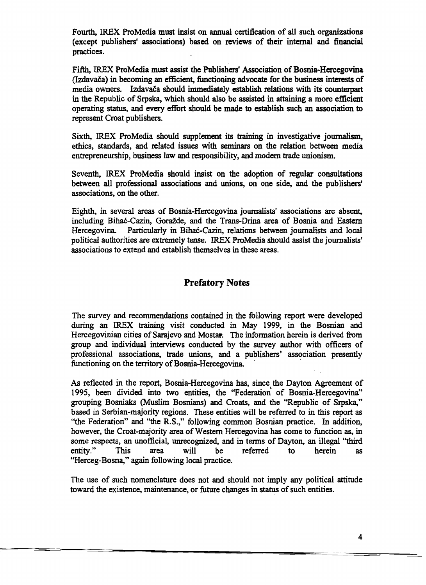Fourth, IREX ProMedia must insist on annual certification of all such organizations (except publishers' associations) based on reviews of their internal and financial practices.

Fifth, !REX ProMedia must assist the Publishers' Association of Bosnia-Hercegovina (Izdavača) in becoming an efficient, functioning advocate for the business interests of media owners. Izdavača should immediately establish relations with its counterpart in the Republic of Srpska, which should also be assisted in attaining a more efficient operating status, and every effort should be made to establish such an association to represent Croat publishers.

Sixth. !REX ProMedia should supplement its training in investigative journalism, ethics, standards, and related issues with seminars on the relation between media entrepreneurship, business law and responsibility, and modern trade unionism.

Seventh, !REX ProMedia should insist on the adoption of regular consultations between all professional associations and unions, on one side, and the publishers' associations, on the other.

Eighth, in several areas of Bosnia-Hercegovina journalists' associations are absent, including Bihac-Cazin, GOraZde, and the Trans-Drina area of Bosnia and Eastern Hercegovina. Particularly in Bihać-Cazin, relations between journalists and local political authorities are extremely tense. !REX ProMedia should assist the journalists' associations to extend and establish themselves in these areas.

# Prefatory Notes

The survey and recommendations contained in the following report were developed during an !REX training visit conducted in May 1999, in the Bosnian and Hercegovinian cities of Sarajevo and Mostar. The information herein is derived from group and individual interviews conducted by the survey author with officers of professional associations, trade unions, and a publishers' association presently functioning on the territory of Bosnia-Hercegovina.

As reflected in the report, Bosnia-Hercegovina has, since the Dayton Agreement of 1995, been divided into two entities, the "Federation of Bosnia-Hercegovina" grouping Bosniaks (Muslim Bosnians) and Croats, and the "Republic of Srpska," based in Serbian-majority regions. These entities will be referred to in this report as "the Federation" and "the R.S.," following common Bosnian practice. In addition, however, the Croat-majority area of Westem Hercegovina has come to function as, in some respects, an unofficial, unrecognized, and in terms of Dayton, an illegal "third<br>entity." This area will be referred to herein as entity." This area will be referred to herein as "Herceg-Bosna," again following local practice.

The use of such nomenclature does not and should not imply any political attitude toward the existence, maintenance, or future changes in status of such entities.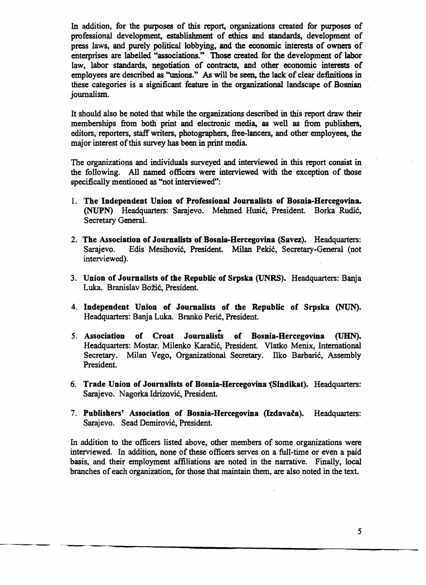In addition, for the pwposes of this report, organizations created for purposes of professional development, establishment of ethics and standards, development of press laws, and purely political lobbying, and the economic interests of owners of enterprises are labelled "associations." Those created for the development of labor law, labor standards, negotiation of contracts, and other economic interests of employees are described as "unions." *As* will be seen, the lack of clear definitions in these categories is a significant feature in the organizational landscape of Bosnian journalism.

It should also be noted that while the organizations described in this report draw their memberships from both print and electronic media, as well as from publishers, editors, reporters, staff writers, photographers, free-lancers, and other employees, the major interest of this survey has been in print media.

The organizations and individuals swveyed and interviewed in this report consist in the following. All named officers were interviewed with the exception of those specifically mentioned as "not interviewed":

- 1. The Independent Union of Professional Journalists of Bosnia-Hercegovina. (NUPN) Headquarters: Sarajevo. Mehmed Husic, President. Borka Rudic, Secretary General.
- 2. The Association of Journalists of Bosnia-Hercegovina (Savez). Headquarters: Sarajevo. Edis Mesihovic, President. Milan Pekic, Secretary-General (not interviewed).
- 3. Union of Journalists of the Republic of Srpska (UNRS). Headquarters: Banja Luka. Branislav Božić, President.
- 4. Independent Union of Journalists of the Republic of Srpska (NUN). Headquarters: Banja Luka. Branko Peric, President.
- 5. Association of Croat Journalists of Bosnia-Hercegovina (UHN). Headquarters: Mostar. Milenko Karacic, President. Vlatko Menix, International Secretary. Milan Vego, Organizational Secretary. Ilko Barbaric, Assembly President.
- 6. Trade Union of Journalists of Bosnia-Hercegovina {Sindikat). Headquarters: Sarajevo. Nagorka Idrizovic, President.
- 7. Publishers' Association of Bosnia-Hercegovina (Izdavača). Headquarters: Sarajevo. Sead Demirović, President.

In addition to the officers listed above, other members of some organizations were interviewed. In addition, none of these officers serves on a full-time or even a paid basis, and their employment affiliations are noted in the narrative. Finally, local branches of each organization, for those that maintain them, are also noted in the text.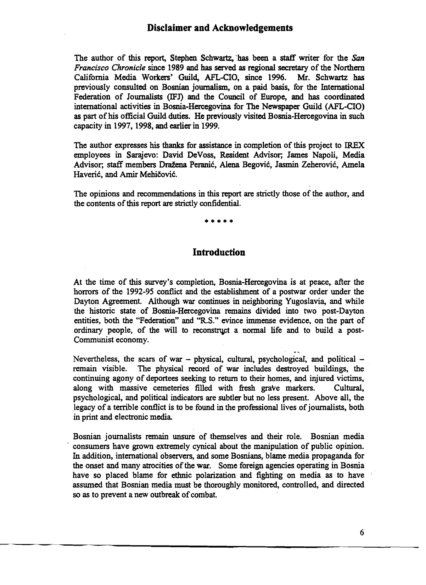The author of this report, Stephen Schwartz, has been a staff writer for the *San Francisco Chronicle* since 1989 and has served as regional secretary of the Northern California Media Workers' Guild, AFL-CIO, since 1996. Mr. Schwartz has previously consulted on Bosnian journalism, on a paid basis, for the International Federation of Journalists (IFJ) and the Council of Europe, and has coordinated international activities in Bosnia-Hercegovina for The Newspaper Guild (AFL-CIO) as part of his official Guild duties. He previously visited Bosnia-Hercegovina in such capacity in 1997, 1998, and earlier in 1999.

The author expresses his thanks for assistance in completion of this project to IREX employees in Sarajevo: David DeVoss, Resident Advisor; James Napoli, Media Advisor; staff members Dražena Peranić, Alena Begović, Jasmin Zeherović, Amela Haverić, and Amir Mehičović.

The opinions and recommendations in this report are strictly those of the author, and the contents of this report are strictly confidential.

•••••

#### **Introduction**

At the time of this survey's completion, Bosnia-Hercegovina is at peace, after the horrors of the 1992-95 conflict and the establishment of a postwar order under the Dayton Agreement. Although war continues in neighboring Yugoslavia, and while the historic state of Bosnia-Hercegovina remains divided into two post-Dayton entities, both the "Federation" and ''R.S.'' evince immense evidence, on the part of ordinary people, of the will to reconstruct a normal life and to build a post-Communist economy.

Nevertheless, the scars of war - physical, cultural, psychological, and political remain visible. The physical record of war includes destroyed buildings, the continuing agony of deportees seeking to return to their homes, and injured victims, along with massive cemeteries filled with fresh grave markers. Cultural, psychological, and political indicators are subtler but no less present. Above all, the legacy of a terrible conflict is to be found in the professional lives of journalists, both in print and electronic media.

Bosnian journalists remain unsure of themselves and their role. Bosnian media , consumers have grown extremely cynical about the manipulation of public opinion. In addition, international observers, and some Bosnians, blame media propaganda for the onset and many atrocities of the war. Some foreign agencies operating in Bosnia have so placed blame for ethnic polarization and fighting on media as to have assumed that Bosnian media must be thoroughly monitored, controlled, and directed so as to prevent a new outbreak of combat.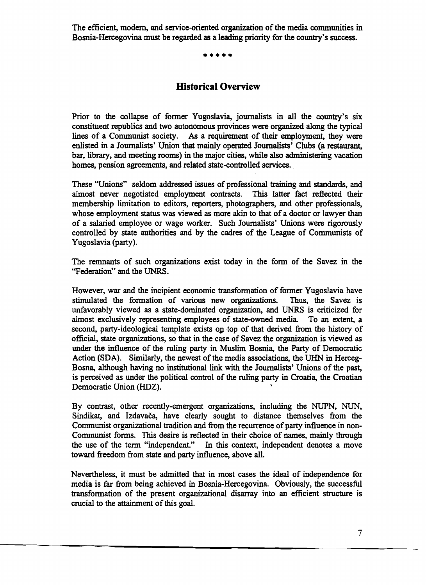The efficient, modem, and service-oriented organization of the media communities in Bosnia-Hercegovina must be regarded as a leading priority for the country's success.

**•••••** 

# **Historical Overview**

Prior to the collapse of former Yugoslavia, journalists in all the country's six constituent republics and two autonomous provinces were organized along the typical lines of a Communist society. *As* a requirement of their employment, they were enlisted in a Journalists' Union that mainly operated Journalists' Clubs (a restaurant, bar, library, and meeting rooms) in the major cities, while also administering vacation homes, pension agreements, and related state-controlled services.

These "Unions" seldom addressed issues of professional training and standards, and almost never negotiated employment contracts. This latter fact reflected their membership limitation to editors, reporters, photographers, and other professionals, whose employment status was viewed as more akin to that of a doctor or lawyer than of a salaried employee or wage worker. Such Journalists' Unions were rigorously controlled by state authorities and by the cadres of the League of Communists of Yugoslavia (party).

The remnants of such organizations exist today in the form of the Savez in the "Federation" and the UNRS.

However, war and the incipient economic transformation of former Yugoslavia have stimulated the formation of various new organizations. Thus, the Savez is stimulated the formation of various new organizations. unfavorably viewed as a state-dominated organization, and UNRS is criticized for almost exclusively representing employees of state-owned media. To an extent, a second, party-ideological template exists on top of that derived from the history of official, state organizations, so that in the case of Savez the organization is viewed as under the influence of the ruling party in Muslim Bosnia, the Party of Democratic Action (SDA). Similarly, the newest of the media associations, the UHN in Herceg-Bosna, although having no institutional link with the Journalists' Unions of the past, is perceived as under the political control of the ruling party in Croatia, the Croatian Democratic Union (HDZ). \

By contrast, other recently-emergent organizations, including the NUPN, NUN, Sindikat, and Izdavača, have clearly sought to distance themselves from the Communist organizational tradition and from the recurrence of party influence in non-Communist forms. This desire is reflected in their choice of names, mainly through the use of the term "independent." In this context, independent denotes a move toward freedom from state and party influence, above all.

Nevertheless, it must be admitted that in most cases the ideal of independence for media is far from being achieved in Bosnia-Hercegovina. Obviously, the successful transformation of the present organizational disarray into an efficient structure is crucial to the attainment of this goal.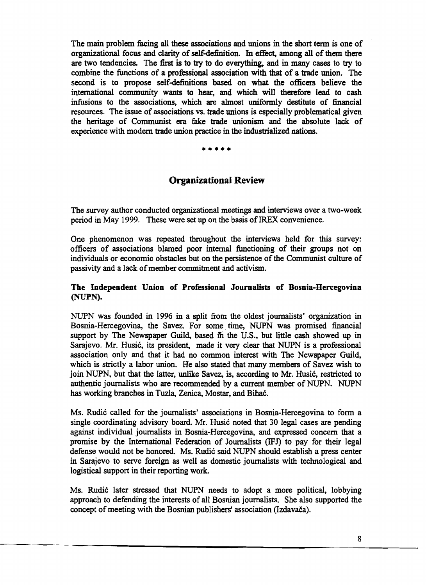The main problem facing all these associations and unions in the short term is one of organizational focus and clarity of self-definition. In effect, among all of them there are two tendencies. The first is to try to do everything, and in many cases to try to combine the functions of a professional association with that of a trade union. The second is to propose self-definitions based on what the officers believe the international community wants to hear, and which will therefore lead to cash infusions to the associations, which are almost uniformly destitute of financial resources. The issue of associations vs. trade unions is especially problematical given the heritage of Communist era fake trade unionism and the absolute lack of experience with modern trade union practice in the industrialized nations.

# \*\*\*\*\*

# **Organizational Review**

The survey author conducted organizational meetings and interviews over a two-week period in May 1999. These were set up on the basis of IREX convenience.

One phenomenon was repeated throughout the interviews held for this survey: officers of associations blamed poor internal functioning of their groups not on individuals or economic obstacles but on the persistence of the Communist culture of passivity and a lack of member commitment and activism.

#### The Independent Union of Professional Journalists of Bosnia-Hercegovina (NUPN).

NUPN was founded in 1996 in a split from the oldest journalists' organization in Bosnia-Hercegovina, the Savez. For some. time, NUPN was promised financial support by The Newspaper Guild, based in the U.S., but little cash showed up in Sarajevo. Mr. Husic, its president, made it very clear that NUPN is a professional association only and that it had no common interest with The Newspaper Guild, which is strictly a labor union. He also stated that many members of Savez wish to join NUPN, but that the latter, unlike Savez, is, according to Mr. Husic, restricted to authentic journalists who are recommended by a current member of NUPN. NUPN has working branches in Tuzla, Zenica, Mostar, and Bihac.

Ms. Rudic called for the journalists' associations in Bosnia-Hercegovina to form a single coordinating advisory board. Mr. Husic noted that 30 legal cases are pending against individual journalists in Bosnia-Hercegovina, and expressed concern that a promise by the International Federation of Journalists (IFJ) to pay for their legal defense would not be honored. Ms. Rudić said NUPN should establish a press center in Sarajevo to serve foreign. as well as domestic journalists with technological and logistical support in their reporting work.

Ms. Rudić later stressed that NUPN needs to adopt a more political, lobbying approach to defending the interests of all Bosnian journalists. She also supported the concept of meeting with the Bosnian publishers' association (Izdavača).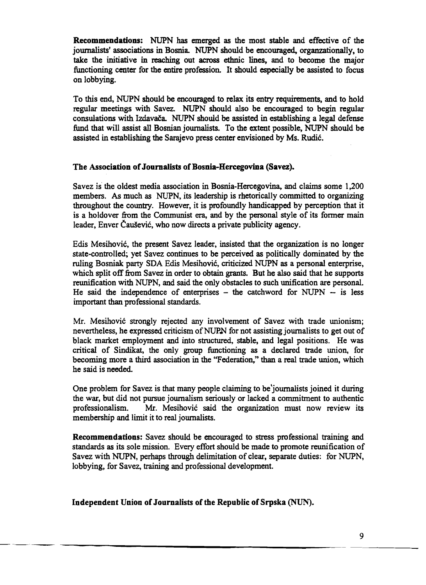Recommendations: NUPN has emerged as the most stable and effective of the journalists' associations in Bosnia. NUPN should be encouraged, organzationally, to take the initiative in reaching out across ethnic lines, and to become the major functioning center for the entire profession. It should especially be assisted to focus on lobbying.

To this end, NUPN should be encouraged to relax its entry requirements, and to hold regular meetings with Savez. NUPN should also be encouraged to begin regular consulations with Izdavafa. NUPN should be assisted in establishing a legal defense fund that will assist all Bosnian journalists. To the extent possible, NUPN should be assisted in establishing the Sarajevo press center envisioned by Ms. Rudie.

#### The Association of Journalists of Bosnia-Hercegovina (Savez).

Savez is the oldest media association in Bosnia-Hercegovina, and claims some 1,200 members. As much as NUPN, its leadership is rhetorically committed to organizing throughout the country. However, it is profoundly handicapped by perception that it is a holdover from the Communist era, and by the personal style of its fonner main leader, Enver Čaušević, who now directs a private publicity agency.

Edis Mesihovie, the present Savez leader, insisted that the organization is no longer state-controlled; yet Savez continues to be perceived as politically dominated by the ruling Bosniak party SDA Edis Mesihovie, criticized NUPN as a personal enterprise, which split off from Savez in order to obtain grants. But he also said that he supports reunification with NUPN, and said the only obstacles to such unification are personal. He said the independence of enterprises  $-$  the catchword for NUPN  $-$  is less important than professional standards.

Mr. Mesihović strongly rejected any involvement of Savez with trade unionism; nevertheless, he expressed criticism of NUPN for not assisting journalists to get out of black market employment and into structured, stable, and legal positions. He was critical of Sindikat, the only group functioning as a declared trade union, for becoming more a third association in the "Federation," than a real trade union, which he said is needed.

One problem for Savez is that many people claiming to be journalists joined it during the war, but did not pursue journalism seriously or lacked a commitment to authentic professionalism. Mr. Mesihović said the organization must now review its membership and limit it to real journalists.

Recommendations: Savez should be encouraged to stress professional training and standards as its sole mission. Every effort should be made to promote reunification of Savez with NUPN, perhaps through delimitation of clear, separate duties: for NUPN, lobbying, for Savez, training and professional development.

#### Independent Union of Journalists of the Republic of Srpska (NUN).

------- ----------------------------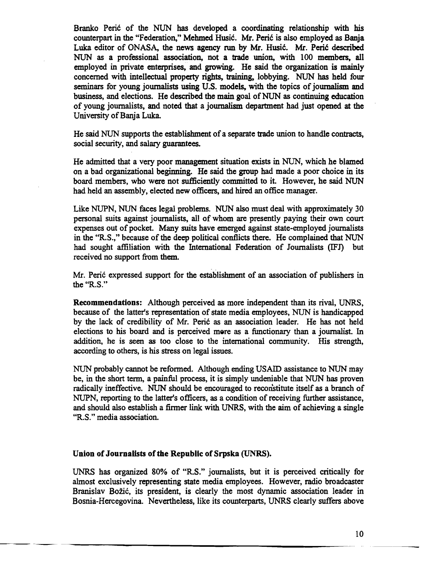Branko Perić of the NUN has developed a coordinating relationship with his counterpart in the "Federation," Mehmed Husić. Mr. Perić is also employed as Banja Luka editor of ONASA, the news agency run by Mr. Husić. Mr. Perić described NUN as a professional association, not a trade union, with 100 members, all employed in private enterprises, and growing. He said the organization is mainly concerned with intellectual property rights, training, lobbying. NUN has held four seminars for young journalists using U.S. models, with the topics of journalism and business, and elections. He described the main goal of NUN as continuing education of young journalists, and noted that a journalism department had just opened at the University of Banja Luka.

He said NUN supports the establishment of a separate trade union to handle contracts, social security, and salary guarantees.

He admitted that a very poor management situation exists in NUN, which he blamed on a bad organizational beginning. He said the group had made a poor choice in its board members, who were not sufficiently committed to it. However, he said NUN had held an assembly, elected new officers, and hired an office manager.

Like NUPN, NUN faces legal problems. NUN also must deal with approximately 30 personal suits against journalists, all of whom are presently paying their own court expenses out of pocket. Many suits have emerged against state-employed journalists in the "RS.," because of the deep political conflicts there. He complained that NUN had sought affiliation with the International Federation of Journalists (lFJ) but received no support from them.

Mr. Peric expressed support for the establishment of an association of publishers in the "R.S."

Recommendations: Although perceived as more independent than its rival, UNRS, because of the latter's representation of state media employees, NUN is handicapped by the lack of credibility of Mr. Peric as an association leader. He has not held elections to his board and is perceived mere as a functionary than a journalist. In addition, he is seen as too close to the international community. His strength, according to others, is his stress on legal issues.

NUN probably cannot be reformed. Although ending USAID assistance to NUN may be, in the short term, a painful process, it is simply undeniable that NUN has proven radically ineffective. NUN should be encouraged to reconstitute itself as a branch of NUPN, reporting to the latter's officers, as a condition of receiving further assistance, and should also establish a finner link with UNRS, with the aim of achieving a single "R.S." media association.

#### Union of Journalists of the Republic of Srpska (UNRS).

UNRS has organized 80% of "RS." journalists, but it is perceived critically for almost exclusively representing state media employees. However, radio broadcaster Branislav Božić, its president, is clearly the most dynamic association leader in Bosnia-Hercegovina. Nevertheless, like its counterparts, UNRS clearly suffers above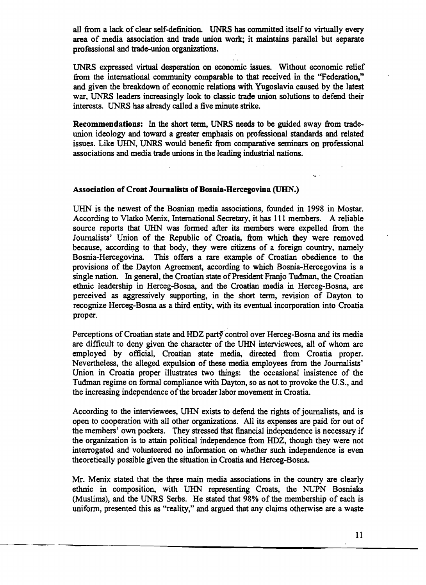all from a lack of clear self-definition. UNRS has committed itself to virtually every area of media association and trade union work; it maintains parallel but separate professional and trade-union organizations.

UNRS expressed virtual desperation on economic issues. Without economic relief from the international community comparable to that received in the ''Federation,'' and given the breakdown of economic relations with Yugoslavia caused by the latest war, UNRS leaders increasingly look to classic trade union solutions to defend their interests. UNRS has already called a five minute strike.

Recommendations: In the short term, UNRS needs to be guided away from tradeunion ideology and toward a greater emphasis on professional standards and related issues. Like URN, UNRS would benefit from comparative seminars on professional associations and media trade unions in the leading industrial nations.

#### Association of Croat Journalists of Bosnia-Hercegovina (UBN.)

UHN is the newest of the Bosnian media associations, founded in 1998 in Mostar. According to Vlatko Menix, International Secretary, it has 111 members. A reliable source reports that URN was formed after its members were expelled from the Journalists' Union of the Republic of Croatia, from which they were removed because, according to that body, they were citizens of a foreign country, namely Bosnia-Hercegovina. This offers a rare example of Croatian obedience to the provisions of the Dayton Agreement, according to which Bosnia-Hercegovina is a single nation. In general, the Croatian state of President Franjo Tuđman, the Croatian ethnic leadership in Herceg-Bosna, and the Croatian media in Herceg-Bosna, are perceived as aggressively supporting, in the short term, revision of Dayton to recognize Herceg-Bosna as a third entity, with its eventual incorporation into Croatia proper.

Perceptions of Croatian state and HDZ party control over Herceg-Bosna and its media are difficult to deny given the character of the UHN interviewees, all of whom are employed by official, Croatian state media, directed from Croatia proper. Nevertheless, the alleged expulsion of these media employees from the Journalists' Union in Croatia proper illustrates two things: the occasional insistence of the Tudman regime on formal compliance with Dayton, so as not to provoke the U.S., and the increasing independence of the broader labor movement in Croatia.

According to the interviewees, UHN exists to defend the rights of journalists, and is open to cooperation with all other organizations. All its expenses are paid for out of the members' own pockets. They stressed that financial independence is necessary if the organization is to attain political independence from HDZ, though they were not interrogated and volunteered no information on whether such independence is even theoretically possible given the situation in Croatia and Herceg-Bosna.

Mr. Menix stated that the three main media associations in the country are clearly ethnic in composition, with URN representing Croats, the NUPN Bosniaks (Muslims), and the UNRS Serbs. He stated that 98% of the membership of each is uniform, presented this as "reality," and argued that any claims otherwise are a waste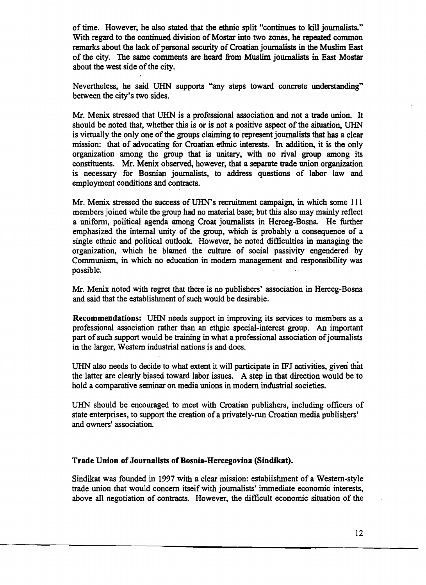of time. However, he also stated that the ethnic split "continues to kill journalists." With regard to the continued division of Mostar into two zones, he repeated common remarks about the lack of personal security of Croatian journalists in the Muslim East of the city. The same comments are heard from Muslim journalists in East Mostar about the west side of the city.

Nevertheless, he said UHN supports "any steps toward concrete understanding" between the city's two sides.

Mr. Menix stressed that URN is a professional association and not a trade union. It should be noted that, whether this is or is not a positive aspect of the situation, URN is virtually the only one of the groups claiming to represent journalists that has a clear mission: that of advocating for Croatian ethnic interests. In addition, it is the only organization among the group that is unitary, with no rival group among its constituents. Mr. Menix observed, however, that a separate trade union organization is necessary for Bosnian joumaIists, to address questions of labor law and employment conditions and contracts.

Mr. Menix stressed the success of UHN's recruitment campaign, in which some 111 members joined while the group had no material base; but this also may mainly reflect a uniform, political agenda among Croat joumaIists in Herceg-Bosna He further emphasized the internal unity of the group, which is probably a consequence of a single ethnic and political outlook. However, he noted difficulties in managing the organization, which he blamed the culture of social passivity engendered by Communism, in which no education in modern management and responsibility was possible.

Mr. Menix noted with regret that there is no publishers' association in Herceg-Bosna and said that the establishment of such would be desirable.

Recommendations: UHN needs support in improving its services to members as a professional association rather than an ethpic special-interest group. An important part of such support would be training in what a professional association of journalists in the larger, Western industrial nations is and does.

UHN also needs to decide to what extent it will participate in IFJ activities, given that the latter are clearly biased toward labor issues. A step in that direction would be to hold a comparative seminar on media unions in modem industrial societies.

URN should be encouraged to meet with Croatian publishers, including officers of state enterprises, to support the creation of a privately-run Croatian media publishers' and owners' association.

#### Trade Union of Journalists of Bosnia-Hercegovina (Sindikat).

Sindikat was founded in 1997 with a clear mission: establishment of a Western-style trade union that would concern itself with journalists' immediate economic interests, above all negotiation of contracts. However, the difficult economic situation of the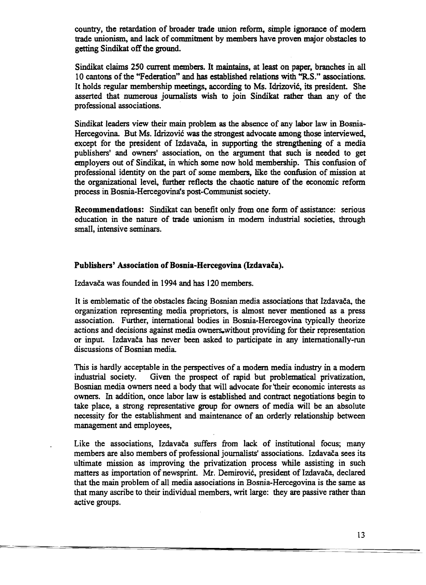country, the retardation of broader trade union reform, simple ignorance of modem trade unionism, and lack of commitment by members have proven major obstacles to getting Sindikat off the ground.

Sindikat claims 250 current members. It maintains, at least on paper, branches in all 10 cantons of the "Federation" and has established relations with "ReS." associations. It holds regular membership meetings, according to Ms. Idrizovic, its president. She asserted that numerous journalists wish to join Sindikat rather than any of the professional associations.

Sindikat leaders view their main problem as the absence of any labor law in Bosnia-Hercegovina. But Ms. Idrizović was the strongest advocate among those interviewed, except for the president of Izdavača, in supporting the strengthening of a media publishers' and owners' association, on the argument that such is needed to get employers out of Sindikat, in which some now hold membership. This confusion of professional identity on the part of some members, like the confusion of mission at the organizational level, further reflects the chaotic nature of the economic reform process in Bosnia-Hercegovinais post-Communist society.

Recommendations: Sindikat can benefit only from one form of assistance: serious education in the nature of trade unionism in modern industrial societies. through small, intensive seminars.

#### Publishers' Association of Bosnia-Hercegovina (Izdavača).

Izdavaca was founded in 1994 and has 120 members.

It is emblematic of the obstacles facing Bosnian media associations that Izdavaca, the organization representing media proprietors, is almost never mentioned as a press association. Further, international bodies in Bosnia-Hercegovina typically theorize actions and decisions against media owners.without providing for their representation or input. Izdavaca has never been asked to participate in any internationally-run discussions of Bosnian media.

This is hardly acceptable in the perspectives of a modern media industry in a modern industrial society. Given the prospect of rapid but problematical privatization. Given the prospect of rapid but problematical privatization, Bosnian media owners need a body that will advocate for 'their economic interests as owners. In addition, once labor law is established and contract negotiations begin to take place, a strong representative group for owners of media will be an absolute necessity for the establishment and maintenance of an orderly relationship between management and employees,

Like the associations, Izdavača suffers from lack of institutional focus; many members are also members of professional journalists' associations. Izdavača sees its ultimate mission as improving the privatization process while assisting in such matters as importation of newsprint. Mr. Demirović, president of Izdavača, declared that the main problem of all media associations in Bosnia-Hercegovina is the same as that many ascribe to their individual members, writ large: they are passive rather than active groups.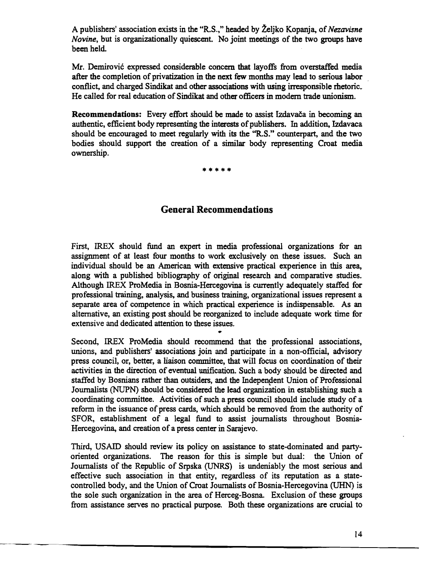A publishers' association exists in the "R.S.," headed by Zeljko Kopanja, of*Nezavisne Novine,* but is organizationally quiescent. No joint meetings of the two groups have been held.

Mr. Demirovic expressed considerable concern that layoffs from overstaffed media after the completion of privatization in the next few months may lead to serious labor contlict, and charged Sindikat and other associations with using irresponsible rhetoric. He called for real education of Sindikat and other officers in modern trade unionism.

Recommendations: Every effort should be made to assist Izdavača in becoming an authentic, efficient body representing the interests of publishers. In addition, Izdavaca should be encouraged to meet regularly with its the "R.S." counterpart, and the two bodies should support the creation of a similar body representing Croat media ownership.

•••••

### General Recommendations

First, IREX should fund an expert in media professional organizations for an assignment of at least four months to work exclusively on these issues. Such an individual should be an American with extensive practical experience in this area, along with a published bibliography of original research and comparative studies. Although IREX ProMedia in Bosnia-Hercegovina is currently adequately staffed for professional training, analysis, and business training, organizational issues represent a separate area of competence in which practical experience is indispensable. As an alternative, an existing post should be reorganized to include adequate work time for extensive and dedicated attention to these issues.

•

Second, IREX ProMedia should recommend that the professional associations, unions, and publishers' associations join and participate in a non-official, advisory press council, or, better, a liaison committee, that will focus on coordination of their activities in the direction of eventual unification. Such a body should be directed and staffed by Bosnians rather than outsiders, and the Independent Union of Professional Journalists (NUPN) should be considered the lead organization in establishing such a coordinating committee. Activities of such a press council should include study of a reform in the issuance of press cards, which should be removed from the authority of SFOR, establishment of a legal fund to assist journalists throughout Bosnia-Hercegovina, and creation of a press center in Sarajevo.

Third, USAID should review its policy on assistance to state-dominated and partyoriented organizations. The reason for this is simple but dual: the Union of Journalists of the Republic of Srpska (UNRS) is undeniably the most serious and effective such association in that entity, regardless of its reputation as a statecontrolled body, and the Union of Croat Journalists of Bosnia-Hercegovina (URN) is the sole such organization in the area of Herceg-Bosna. Exclusion of these groups from assistance serves no practical purpose. Both these organizations are crucial to